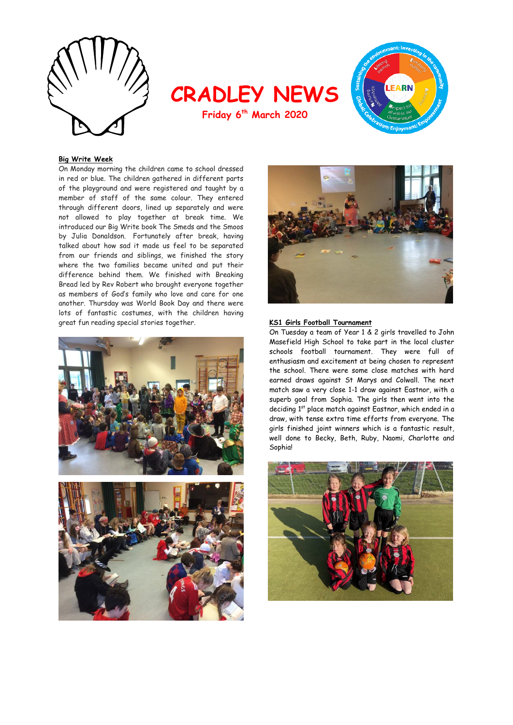





## **Big Write Week**

On Monday morning the children came to school dressed in red or blue. The children gathered in different parts of the playground and were registered and taught by a member of staff of the same colour. They entered through different doors, lined up separately and were not allowed to play together at break time. We introduced our Big Write book The Smeds and the Smoos by Julia Donaldson. Fortunately after break, having talked about how sad it made us feel to be separated from our friends and siblings, we finished the story where the two families became united and put their difference behind them. We finished with Breaking Bread led by Rev Robert who brought everyone together as members of God's family who love and care for one another. Thursday was World Book Day and there were lots of fantastic costumes, with the children having great fun reading special stories together. **KS1 Girls Football Tournament** 







On Tuesday a team of Year 1 & 2 girls travelled to John Masefield High School to take part in the local cluster schools football tournament. They were full of enthusiasm and excitement at being chosen to represent the school. There were some close matches with hard earned draws against St Marys and Colwall. The next match saw a very close 1-1 draw against Eastnor, with a superb goal from Sophia. The girls then went into the deciding 1<sup>st</sup> place match against Eastnor, which ended in a draw, with tense extra time efforts from everyone. The girls finished joint winners which is a fantastic result, well done to Becky, Beth, Ruby, Naomi, Charlotte and Sophia!

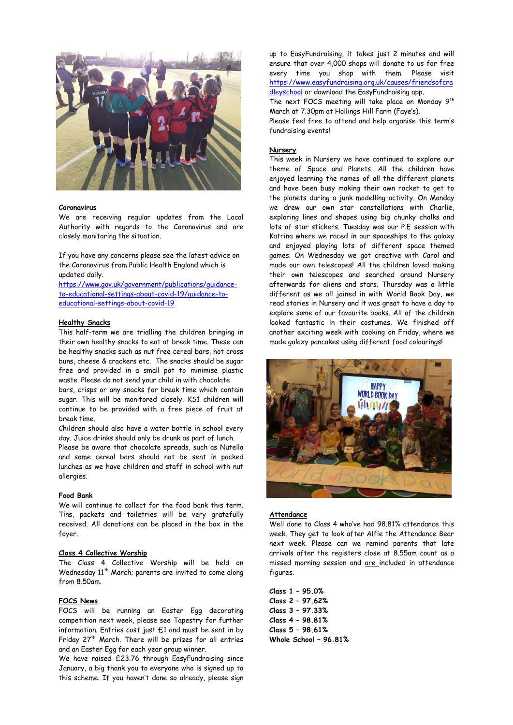

#### **Coronavirus**

We are receiving regular updates from the Local Authority with regards to the Coronavirus and are closely monitoring the situation.

If you have any concerns please see the latest advice on the Coronavirus from Public Health England which is updated daily.

[https://www.gov.uk/government/publications/guidance](https://www.gov.uk/government/publications/guidance-to-educational-settings-about-covid-19/guidance-to-educational-settings-about-covid-19)[to-educational-settings-about-covid-19/guidance-to](https://www.gov.uk/government/publications/guidance-to-educational-settings-about-covid-19/guidance-to-educational-settings-about-covid-19)[educational-settings-about-covid-19](https://www.gov.uk/government/publications/guidance-to-educational-settings-about-covid-19/guidance-to-educational-settings-about-covid-19)

## **Healthy Snacks**

This half-term we are trialling the children bringing in their own healthy snacks to eat at break time. These can be healthy snacks such as nut free cereal bars, hot cross buns, cheese & crackers etc. The snacks should be sugar free and provided in a small pot to minimise plastic waste. Please do not send your child in with chocolate

bars, crisps or any snacks for break time which contain sugar. This will be monitored closely. KS1 children will continue to be provided with a free piece of fruit at break time.

Children should also have a water bottle in school every day. Juice drinks should only be drunk as part of lunch.

Please be aware that chocolate spreads, such as Nutella and some cereal bars should not be sent in packed lunches as we have children and staff in school with nut allergies.

## **Food Bank**

We will continue to collect for the food bank this term. Tins, packets and toiletries will be very gratefully received. All donations can be placed in the box in the foyer.

## **Class 4 Collective Worship**

The Class 4 Collective Worship will be held on Wednesday 11<sup>th</sup> March; parents are invited to come along from 8.50am.

#### **FOCS News**

FOCS will be running an Easter Egg decorating competition next week, please see Tapestry for further information. Entries cost just £1 and must be sent in by Friday 27<sup>th</sup> March. There will be prizes for all entries and an Easter Egg for each year group winner.

We have raised £23.76 through EasyFundraising since January, a big thank you to everyone who is signed up to this scheme. If you haven't done so already, please sign up to EasyFundraising, it takes just 2 minutes and will ensure that over 4,000 shops will donate to us for free every time you shop with them. Please visit [https://www.easyfundraising.org.uk/causes/friendsofcra](https://www.easyfundraising.org.uk/causes/friendsofcradleyschool) [dleyschool](https://www.easyfundraising.org.uk/causes/friendsofcradleyschool) or download the EasyFundraising app.

The next FOCS meeting will take place on Monday 9<sup>th</sup> March at 7.30pm at Hollings Hill Farm (Faye's).

Please feel free to attend and help organise this term's fundraising events!

## **Nursery**

This week in Nursery we have continued to explore our theme of Space and Planets. All the children have enjoyed learning the names of all the different planets and have been busy making their own rocket to get to the planets during a junk modelling activity. On Monday we drew our own star constellations with Charlie, exploring lines and shapes using big chunky chalks and lots of star stickers. Tuesday was our P.E session with Katrina where we raced in our spaceships to the galaxy and enjoyed playing lots of different space themed games. On Wednesday we got creative with Carol and made our own telescopes! All the children loved making their own telescopes and searched around Nursery afterwards for aliens and stars. Thursday was a little different as we all joined in with World Book Day, we read stories in Nursery and it was great to have a day to explore some of our favourite books. All of the children looked fantastic in their costumes. We finished off another exciting week with cooking on Friday, where we made galaxy pancakes using different food colourings!



#### **Attendance**

Well done to Class 4 who've had 98.81% attendance this week. They get to look after Alfie the Attendance Bear next week. Please can we remind parents that late arrivals after the registers close at 8.55am count as a missed morning session and are included in attendance figures.

**Class 1 – 95.0% Class 2 – 97.62% Class 3 – 97.33% Class 4 – 98.81% Class 5 – 98.61% Whole School – 96.81%**